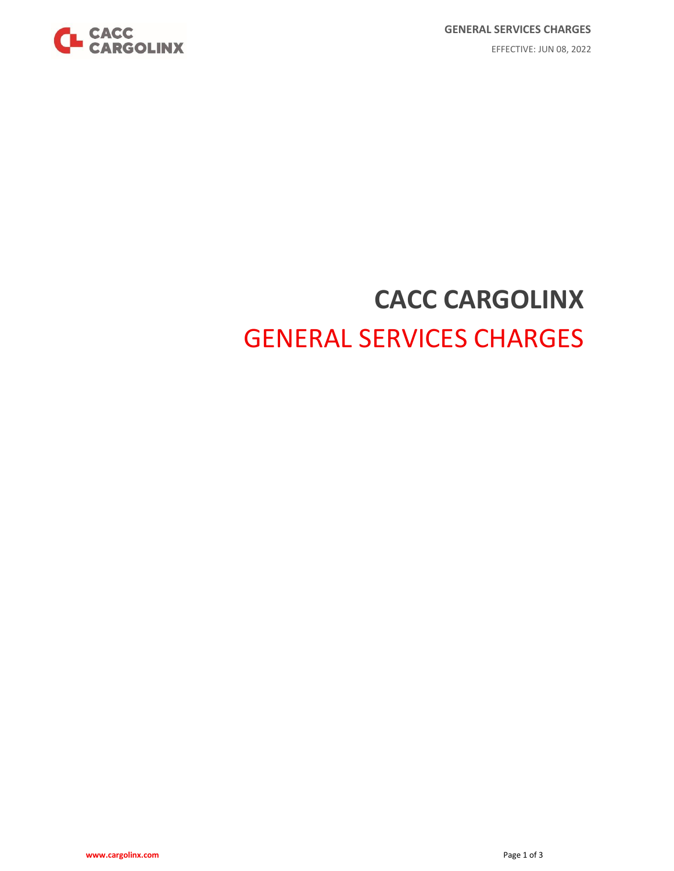

# **CACC CARGOLINX** GENERAL SERVICES CHARGES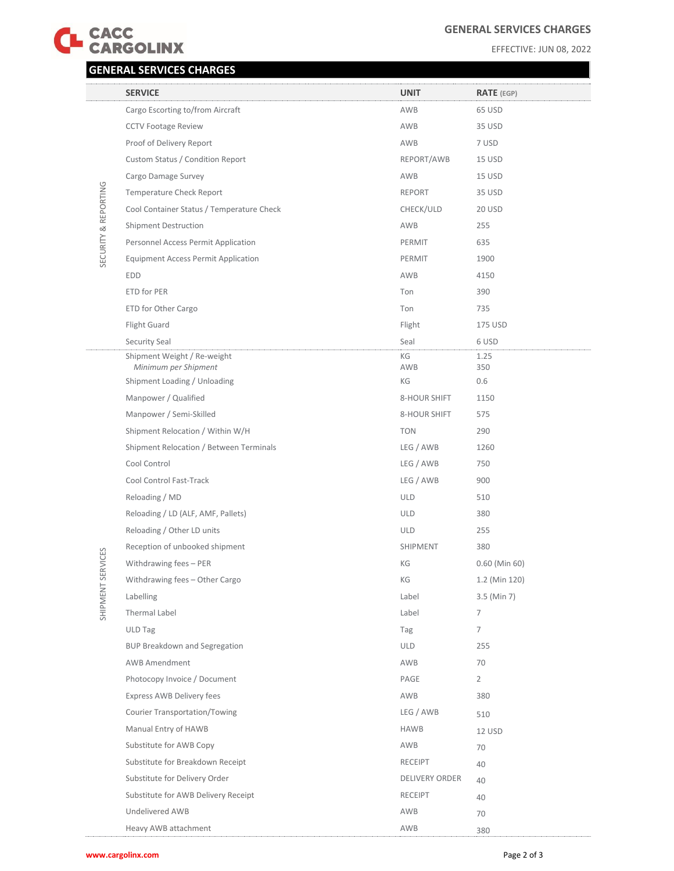

## **GENERAL SERVICES CHARGES**

#### EFFECTIVE: JUN 08, 2022

# **GENERAL SERVICES CHARGES**

|                      | <b>SERVICE</b>                                      | <b>UNIT</b>           | <b>RATE</b> (EGP) |
|----------------------|-----------------------------------------------------|-----------------------|-------------------|
| SECURITY & REPORTING | Cargo Escorting to/from Aircraft                    | AWB                   | 65 USD            |
|                      | <b>CCTV Footage Review</b>                          | AWB                   | 35 USD            |
|                      | Proof of Delivery Report                            | AWB                   | 7 USD             |
|                      | Custom Status / Condition Report                    | REPORT/AWB            | 15 USD            |
|                      | Cargo Damage Survey                                 | AWB                   | 15 USD            |
|                      | Temperature Check Report                            | <b>REPORT</b>         | 35 USD            |
|                      | Cool Container Status / Temperature Check           | CHECK/ULD             | <b>20 USD</b>     |
|                      | <b>Shipment Destruction</b>                         | AWB                   | 255               |
|                      | Personnel Access Permit Application                 | PERMIT                | 635               |
|                      | <b>Equipment Access Permit Application</b>          | PERMIT                | 1900              |
|                      | <b>EDD</b>                                          | AWB                   | 4150              |
|                      | ETD for PER                                         | Ton                   | 390               |
|                      | ETD for Other Cargo                                 | Ton                   | 735               |
|                      | Flight Guard                                        | Flight                | 175 USD           |
|                      | Security Seal                                       | Seal                  | 6 USD             |
|                      | Shipment Weight / Re-weight<br>Minimum per Shipment | KG<br>AWB             | 1.25<br>350       |
|                      | Shipment Loading / Unloading                        | KG                    | 0.6               |
|                      | Manpower / Qualified                                | 8-HOUR SHIFT          | 1150              |
|                      | Manpower / Semi-Skilled                             | 8-HOUR SHIFT          | 575               |
|                      | Shipment Relocation / Within W/H                    | <b>TON</b>            | 290               |
|                      | Shipment Relocation / Between Terminals             | LEG / AWB             | 1260              |
|                      | Cool Control                                        | LEG / AWB             | 750               |
|                      | Cool Control Fast-Track                             | LEG / AWB             | 900               |
|                      | Reloading / MD                                      | <b>ULD</b>            | 510               |
|                      | Reloading / LD (ALF, AMF, Pallets)                  | <b>ULD</b>            | 380               |
|                      | Reloading / Other LD units                          | <b>ULD</b>            | 255               |
|                      | Reception of unbooked shipment                      | SHIPMENT              | 380               |
| ERVICES              | Withdrawing fees - PER                              | KG                    | $0.60$ (Min 60)   |
|                      | Withdrawing fees – Other Cargo                      | КG                    | 1.2 (Min 120)     |
| SHIP MENT S          | Labelling                                           | Label                 | 3.5 (Min 7)       |
|                      | Thermal Label                                       | Label                 | 7                 |
|                      | <b>ULD Tag</b>                                      | Tag                   | 7                 |
|                      | <b>BUP Breakdown and Segregation</b>                | <b>ULD</b>            | 255               |
|                      | <b>AWB Amendment</b>                                | AWB                   | 70                |
|                      | Photocopy Invoice / Document                        | PAGE                  | $\overline{2}$    |
|                      | Express AWB Delivery fees                           | AWB                   | 380               |
|                      | <b>Courier Transportation/Towing</b>                | LEG / AWB             | 510               |
|                      | Manual Entry of HAWB                                | <b>HAWB</b>           | 12 USD            |
|                      | Substitute for AWB Copy                             | AWB                   | 70                |
|                      | Substitute for Breakdown Receipt                    | <b>RECEIPT</b>        | 40                |
|                      | Substitute for Delivery Order                       | <b>DELIVERY ORDER</b> | 40                |
|                      | Substitute for AWB Delivery Receipt                 | <b>RECEIPT</b>        | 40                |
|                      | Undelivered AWB                                     | AWB                   | 70                |
|                      | Heavy AWB attachment                                | AWB                   | 380               |

**www.cargolinx.com** Page 2 of 3